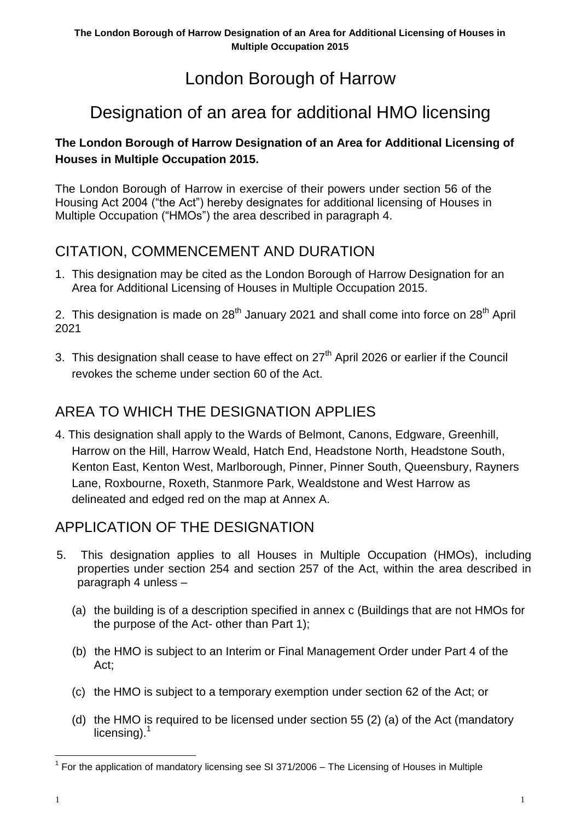# London Borough of Harrow

# Designation of an area for additional HMO licensing

### **The London Borough of Harrow Designation of an Area for Additional Licensing of Houses in Multiple Occupation 2015.**

The London Borough of Harrow in exercise of their powers under section 56 of the Housing Act 2004 ("the Act") hereby designates for additional licensing of Houses in Multiple Occupation ("HMOs") the area described in paragraph 4.

## CITATION, COMMENCEMENT AND DURATION

1. This designation may be cited as the London Borough of Harrow Designation for an Area for Additional Licensing of Houses in Multiple Occupation 2015.

2. This designation is made on  $28<sup>th</sup>$  January 2021 and shall come into force on  $28<sup>th</sup>$  April 2021

3. This designation shall cease to have effect on  $27<sup>th</sup>$  April 2026 or earlier if the Council revokes the scheme under section 60 of the Act.

# AREA TO WHICH THE DESIGNATION APPLIES

4. This designation shall apply to the Wards of Belmont, Canons, Edgware, Greenhill, Harrow on the Hill, Harrow Weald, Hatch End, Headstone North, Headstone South, Kenton East, Kenton West, Marlborough, Pinner, Pinner South, Queensbury, Rayners Lane, Roxbourne, Roxeth, Stanmore Park, Wealdstone and West Harrow as delineated and edged red on the map at Annex A.

## APPLICATION OF THE DESIGNATION

- 5. This designation applies to all Houses in Multiple Occupation (HMOs), including properties under section 254 and section 257 of the Act, within the area described in paragraph 4 unless –
	- (a) the building is of a description specified in annex c (Buildings that are not HMOs for the purpose of the Act- other than Part 1);
	- (b) the HMO is subject to an Interim or Final Management Order under Part 4 of the Act;
	- (c) the HMO is subject to a temporary exemption under section 62 of the Act; or
	- (d) the HMO is required to be licensed under section 55 (2) (a) of the Act (mandatory licensing). $<sup>1</sup>$ </sup>

<sup>&</sup>lt;sup>1</sup> For the application of mandatory licensing see SI 371/2006 – The Licensing of Houses in Multiple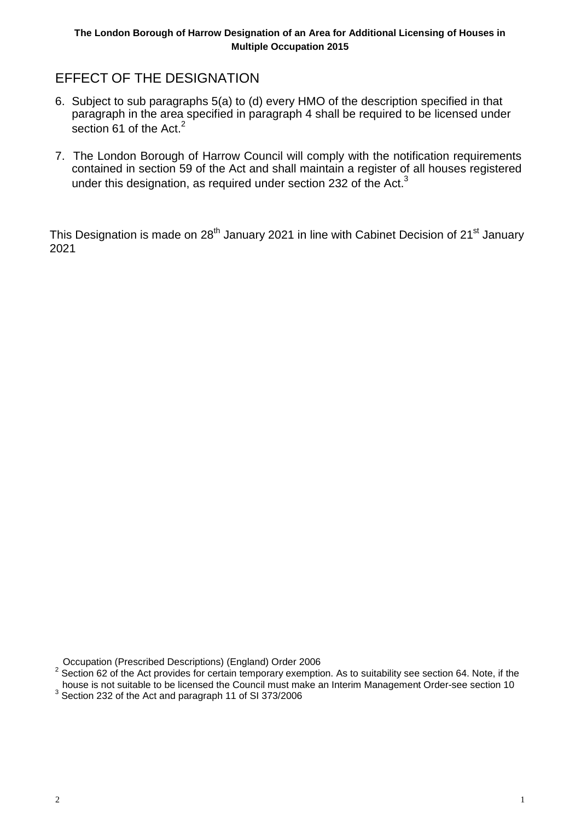## EFFECT OF THE DESIGNATION

- 6. Subject to sub paragraphs 5(a) to (d) every HMO of the description specified in that paragraph in the area specified in paragraph 4 shall be required to be licensed under section 61 of the Act.<sup>2</sup>
- 7. The London Borough of Harrow Council will comply with the notification requirements contained in section 59 of the Act and shall maintain a register of all houses registered under this designation, as required under section 232 of the Act. $3$

This Designation is made on 28<sup>th</sup> January 2021 in line with Cabinet Decision of 21<sup>st</sup> January 2021

Occupation (Prescribed Descriptions) (England) Order 2006

 $2$  Section 62 of the Act provides for certain temporary exemption. As to suitability see section 64. Note, if the house is not suitable to be licensed the Council must make an Interim Management Order-see section 10<br><sup>3</sup> Section 232 of the Act and paragraph 11 of SI 373/2006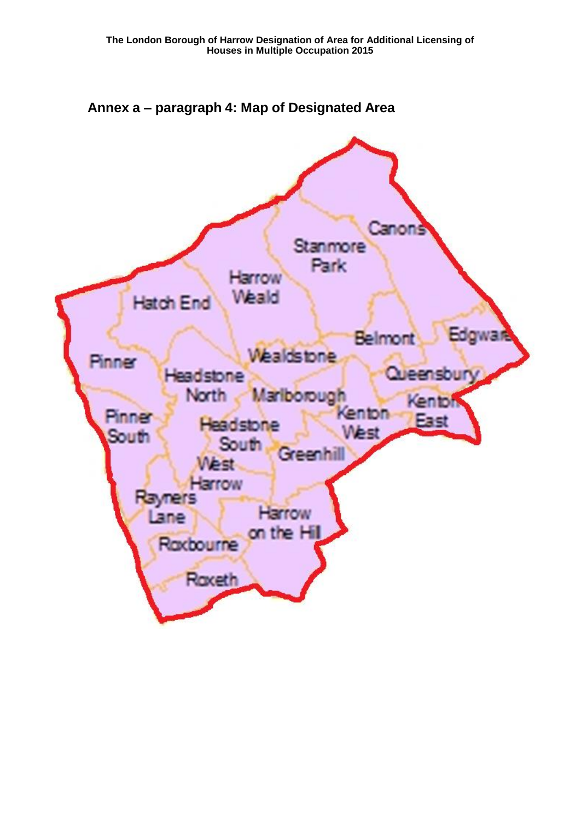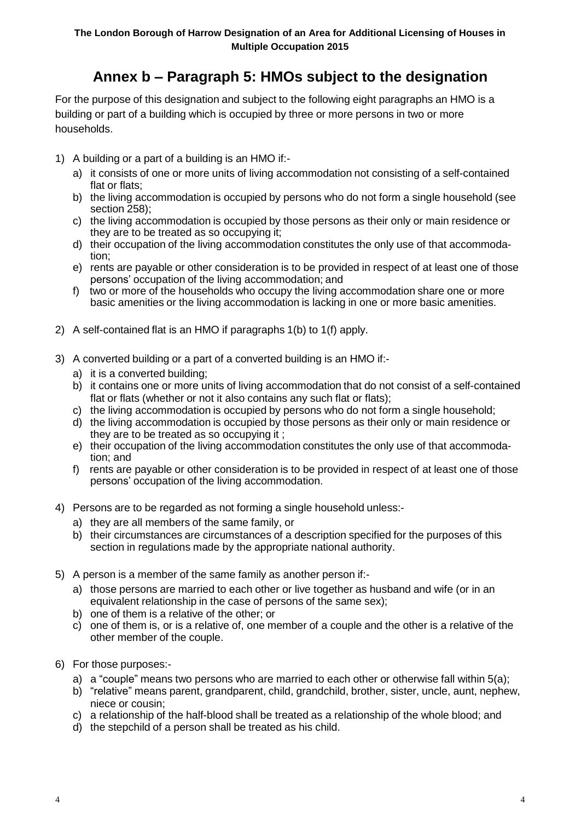# **Annex b – Paragraph 5: HMOs subject to the designation**

For the purpose of this designation and subject to the following eight paragraphs an HMO is a building or part of a building which is occupied by three or more persons in two or more households.

- 1) A building or a part of a building is an HMO if:
	- a) it consists of one or more units of living accommodation not consisting of a self-contained flat or flats;
	- b) the living accommodation is occupied by persons who do not form a single household (see section 258);
	- c) the living accommodation is occupied by those persons as their only or main residence or they are to be treated as so occupying it;
	- d) their occupation of the living accommodation constitutes the only use of that accommodation;
	- e) rents are payable or other consideration is to be provided in respect of at least one of those persons' occupation of the living accommodation; and
	- f) two or more of the households who occupy the living accommodation share one or more basic amenities or the living accommodation is lacking in one or more basic amenities.
- 2) A self-contained flat is an HMO if paragraphs 1(b) to 1(f) apply.
- 3) A converted building or a part of a converted building is an HMO if:
	- a) it is a converted building;
	- b) it contains one or more units of living accommodation that do not consist of a self-contained flat or flats (whether or not it also contains any such flat or flats);
	- c) the living accommodation is occupied by persons who do not form a single household;
	- d) the living accommodation is occupied by those persons as their only or main residence or they are to be treated as so occupying it ;
	- e) their occupation of the living accommodation constitutes the only use of that accommodation; and
	- f) rents are payable or other consideration is to be provided in respect of at least one of those persons' occupation of the living accommodation.
- 4) Persons are to be regarded as not forming a single household unless:
	- a) they are all members of the same family, or
	- b) their circumstances are circumstances of a description specified for the purposes of this section in regulations made by the appropriate national authority.
- 5) A person is a member of the same family as another person if:
	- a) those persons are married to each other or live together as husband and wife (or in an equivalent relationship in the case of persons of the same sex);
	- b) one of them is a relative of the other; or
	- c) one of them is, or is a relative of, one member of a couple and the other is a relative of the other member of the couple.
- 6) For those purposes:
	- a) a "couple" means two persons who are married to each other or otherwise fall within 5(a);
	- b) "relative" means parent, grandparent, child, grandchild, brother, sister, uncle, aunt, nephew, niece or cousin;
	- c) a relationship of the half-blood shall be treated as a relationship of the whole blood; and
	- d) the stepchild of a person shall be treated as his child.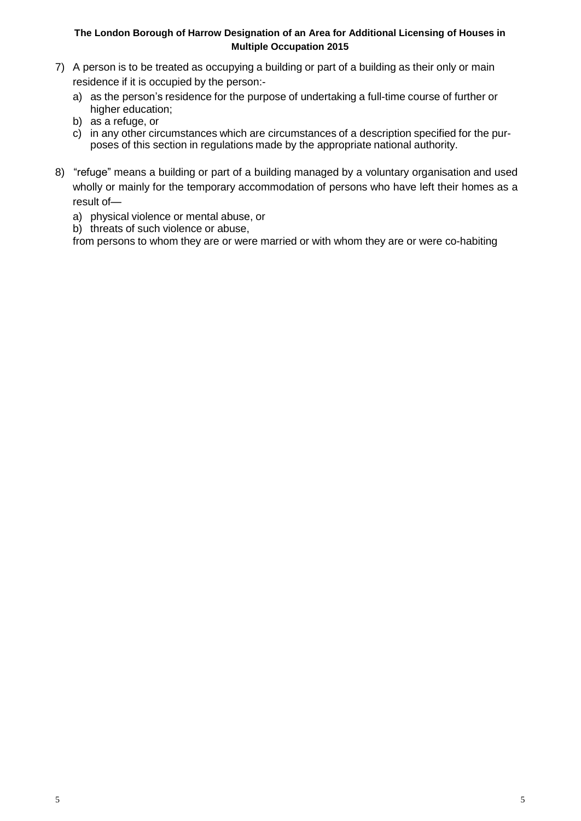#### **The London Borough of Harrow Designation of an Area for Additional Licensing of Houses in Multiple Occupation 2015**

- 7) A person is to be treated as occupying a building or part of a building as their only or main residence if it is occupied by the person:
	- a) as the person's residence for the purpose of undertaking a full-time course of further or higher education;
	- b) as a refuge, or
	- c) in any other circumstances which are circumstances of a description specified for the purposes of this section in regulations made by the appropriate national authority.
- 8) "refuge" means a building or part of a building managed by a voluntary organisation and used wholly or mainly for the temporary accommodation of persons who have left their homes as a result of
	- a) physical violence or mental abuse, or
	- b) threats of such violence or abuse,

from persons to whom they are or were married or with whom they are or were co-habiting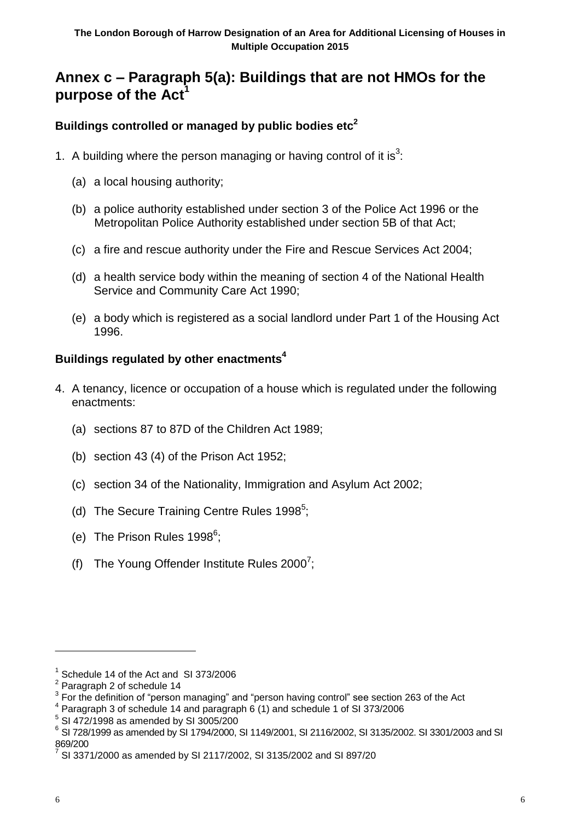## **Annex c – Paragraph 5(a): Buildings that are not HMOs for the purpose of the Act<sup>1</sup>**

### **Buildings controlled or managed by public bodies etc 2**

- 1. A building where the person managing or having control of it is<sup>3</sup>:
	- (a) a local housing authority;
	- (b) a police authority established under section 3 of the Police Act 1996 or the Metropolitan Police Authority established under section 5B of that Act;
	- (c) a fire and rescue authority under the Fire and Rescue Services Act 2004;
	- (d) a health service body within the meaning of section 4 of the National Health Service and Community Care Act 1990;
	- (e) a body which is registered as a social landlord under Part 1 of the Housing Act 1996.

### **Buildings regulated by other enactments 4**

- 4. A tenancy, licence or occupation of a house which is regulated under the following enactments:
	- (a) sections 87 to 87D of the Children Act 1989;
	- (b) section 43 (4) of the Prison Act 1952;
	- (c) section 34 of the Nationality, Immigration and Asylum Act 2002;
	- (d) The Secure Training Centre Rules 1998<sup>5</sup>;
	- (e) The Prison Rules 1998<sup>6</sup>;
	- (f) The Young Offender Institute Rules 2000<sup>7</sup>;

<sup>&</sup>lt;sup>1</sup> Schedule 14 of the Act and SI 373/2006

 $2$  Paragraph 2 of schedule 14

 $3$  For the definition of "person managing" and "person having control" see section 263 of the Act

<sup>4</sup> Paragraph 3 of schedule 14 and paragraph 6 (1) and schedule 1 of SI 373/2006

<sup>5</sup> SI 472/1998 as amended by SI 3005/200

<sup>6</sup> SI 728/1999 as amended by SI 1794/2000, SI 1149/2001, SI 2116/2002, SI 3135/2002. SI 3301/2003 and SI 869/200

 $^7$  SI 3371/2000 as amended by SI 2117/2002, SI 3135/2002 and SI 897/20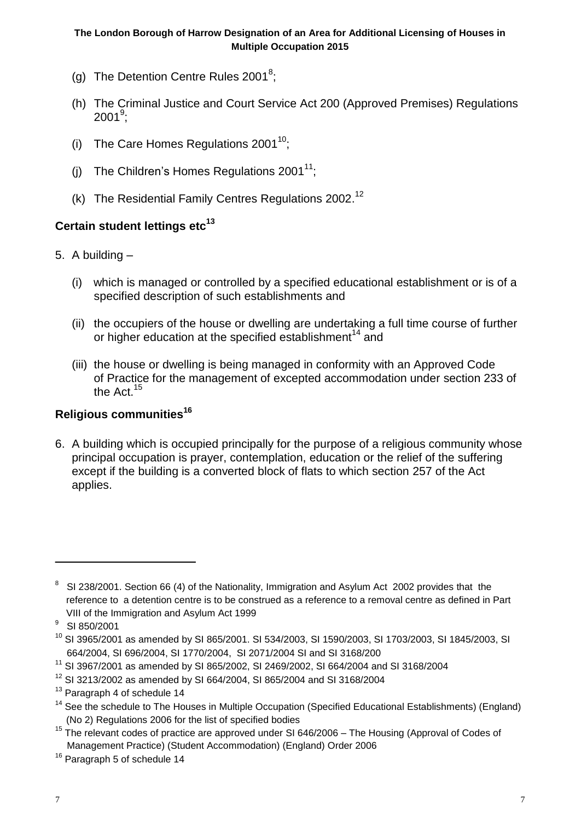- (g) The Detention Centre Rules 2001<sup>8</sup>;
- (h) The Criminal Justice and Court Service Act 200 (Approved Premises) Regulations  $2001^\mathrm{9};$
- (i) The Care Homes Regulations  $2001^{10}$ ;
- (j) The Children's Homes Regulations 2001 $^{11}$ ;
- (k) The Residential Family Centres Regulations 2002.<sup>12</sup>

## **Certain student lettings etc 13**

- 5. A building
	- (i) which is managed or controlled by a specified educational establishment or is of a specified description of such establishments and
	- (ii) the occupiers of the house or dwelling are undertaking a full time course of further or higher education at the specified establishment<sup>14</sup> and
	- (iii) the house or dwelling is being managed in conformity with an Approved Code of Practice for the management of excepted accommodation under section 233 of the Act.<sup>15</sup>

## **Religious communities 16**

6. A building which is occupied principally for the purpose of a religious community whose principal occupation is prayer, contemplation, education or the relief of the suffering except if the building is a converted block of flats to which section 257 of the Act applies.

<sup>&</sup>lt;sup>8</sup> SI 238/2001. Section 66 (4) of the Nationality, Immigration and Asylum Act 2002 provides that the reference to a detention centre is to be construed as a reference to a removal centre as defined in Part VIII of the Immigration and Asylum Act 1999

 $9$  SI 850/2001

 $^{10}$  SI 3965/2001 as amended by SI 865/2001. SI 534/2003, SI 1590/2003, SI 1703/2003, SI 1845/2003, SI 664/2004, SI 696/2004, SI 1770/2004, SI 2071/2004 SI and SI 3168/200

<sup>11</sup> SI 3967/2001 as amended by SI 865/2002, SI 2469/2002, SI 664/2004 and SI 3168/2004

<sup>12</sup> SI 3213/2002 as amended by SI 664/2004, SI 865/2004 and SI 3168/2004

 $13$  Paragraph 4 of schedule 14

 $14$  See the schedule to The Houses in Multiple Occupation (Specified Educational Establishments) (England) (No 2) Regulations 2006 for the list of specified bodies

 $15$  The relevant codes of practice are approved under SI 646/2006 – The Housing (Approval of Codes of Management Practice) (Student Accommodation) (England) Order 2006

<sup>&</sup>lt;sup>16</sup> Paragraph 5 of schedule 14